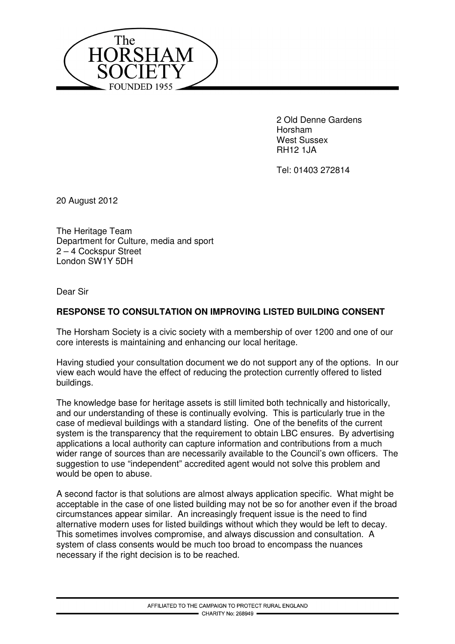

 2 Old Denne Gardens Horsham West Sussex RH12 1JA

Tel: 01403 272814

20 August 2012

The Heritage Team Department for Culture, media and sport 2 – 4 Cockspur Street London SW1Y 5DH

Dear Sir

## **RESPONSE TO CONSULTATION ON IMPROVING LISTED BUILDING CONSENT**

The Horsham Society is a civic society with a membership of over 1200 and one of our core interests is maintaining and enhancing our local heritage.

Having studied your consultation document we do not support any of the options. In our view each would have the effect of reducing the protection currently offered to listed buildings.

The knowledge base for heritage assets is still limited both technically and historically, and our understanding of these is continually evolving. This is particularly true in the case of medieval buildings with a standard listing. One of the benefits of the current system is the transparency that the requirement to obtain LBC ensures. By advertising applications a local authority can capture information and contributions from a much wider range of sources than are necessarily available to the Council's own officers. The suggestion to use "independent" accredited agent would not solve this problem and would be open to abuse.

A second factor is that solutions are almost always application specific. What might be acceptable in the case of one listed building may not be so for another even if the broad circumstances appear similar. An increasingly frequent issue is the need to find alternative modern uses for listed buildings without which they would be left to decay. This sometimes involves compromise, and always discussion and consultation. A system of class consents would be much too broad to encompass the nuances necessary if the right decision is to be reached.